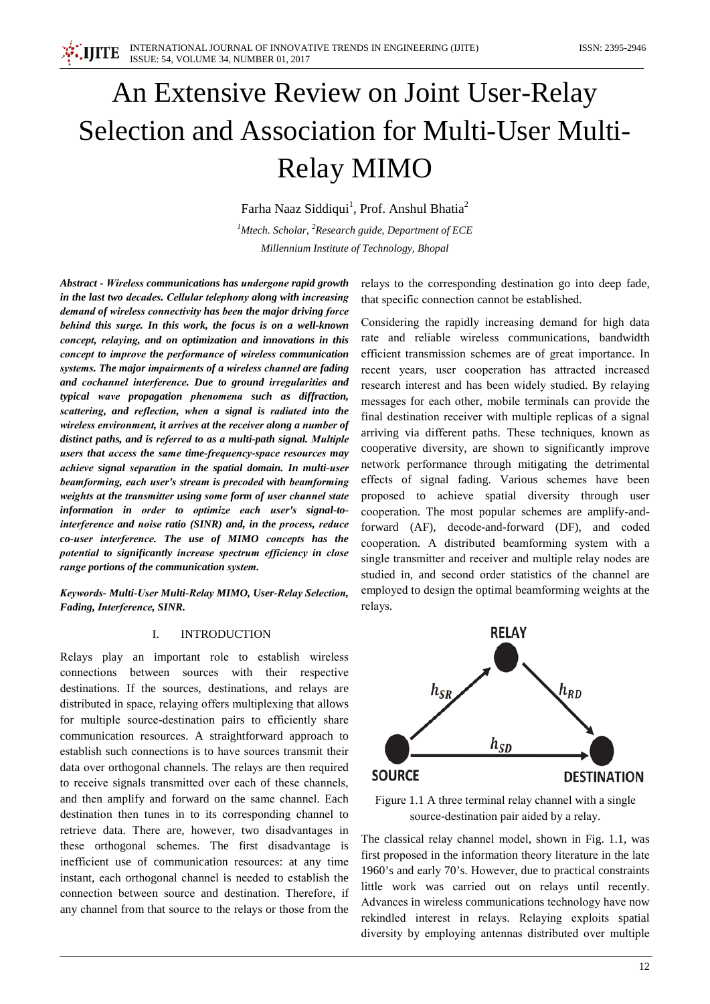# An Extensive Review on Joint User-Relay Selection and Association for Multi-User Multi-**Relay MIMO**

Farha Naaz Siddiqui<sup>1</sup>, Prof. Anshul Bhatia<sup>2</sup>

<sup>1</sup>Mtech. Scholar, <sup>2</sup>Research guide, Department of ECE

Millennium Institute of Technology, Bhopal

Abstract - Wireless communications has undergone rapid growth in the last two decades. Cellular telephony along with increasing demand of wireless connectivity has been the major driving force behind this surge. In this work, the focus is on a well-known concept, relaying, and on optimization and innovations in this concept to improve the performance of wireless communication systems. The major impairments of a wireless channel are fading and cochannel interference. Due to ground irregularities and typical wave propagation phenomena such as diffraction, scattering, and reflection, when a signal is radiated into the wireless environment, it arrives at the receiver along a number of distinct paths, and is referred to as a multi-path signal. Multiple users that access the same time-frequency-space resources may achieve signal separation in the spatial domain. In multi-user beamforming, each user's stream is precoded with beamforming weights at the transmitter using some form of user channel state information in order to optimize each user's signal-tointerference and noise ratio (SINR) and, in the process, reduce co-user interference. The use of MIMO concepts has the potential to significantly increase spectrum efficiency in close range portions of the communication system.

Keywords- Multi-User Multi-Relay MIMO, User-Relay Selection, Fading, Interference, SINR.

### I. **INTRODUCTION**

Relays play an important role to establish wireless connections between sources with their respective destinations. If the sources, destinations, and relays are distributed in space, relaying offers multiplexing that allows for multiple source-destination pairs to efficiently share communication resources. A straightforward approach to establish such connections is to have sources transmit their data over orthogonal channels. The relays are then required to receive signals transmitted over each of these channels, and then amplify and forward on the same channel. Each destination then tunes in to its corresponding channel to retrieve data. There are, however, two disadvantages in these orthogonal schemes. The first disadvantage is inefficient use of communication resources: at any time instant, each orthogonal channel is needed to establish the connection between source and destination. Therefore, if any channel from that source to the relays or those from the relays to the corresponding destination go into deep fade, that specific connection cannot be established.

Considering the rapidly increasing demand for high data rate and reliable wireless communications, bandwidth efficient transmission schemes are of great importance. In recent years, user cooperation has attracted increased research interest and has been widely studied. By relaying messages for each other, mobile terminals can provide the final destination receiver with multiple replicas of a signal arriving via different paths. These techniques, known as cooperative diversity, are shown to significantly improve network performance through mitigating the detrimental effects of signal fading. Various schemes have been proposed to achieve spatial diversity through user cooperation. The most popular schemes are amplify-andforward (AF), decode-and-forward (DF), and coded cooperation. A distributed beamforming system with a single transmitter and receiver and multiple relay nodes are studied in, and second order statistics of the channel are employed to design the optimal beamforming weights at the relays.



Figure 1.1 A three terminal relay channel with a single source-destination pair aided by a relay.

The classical relay channel model, shown in Fig. 1.1, was first proposed in the information theory literature in the late 1960's and early 70's. However, due to practical constraints little work was carried out on relays until recently. Advances in wireless communications technology have now rekindled interest in relays. Relaying exploits spatial diversity by employing antennas distributed over multiple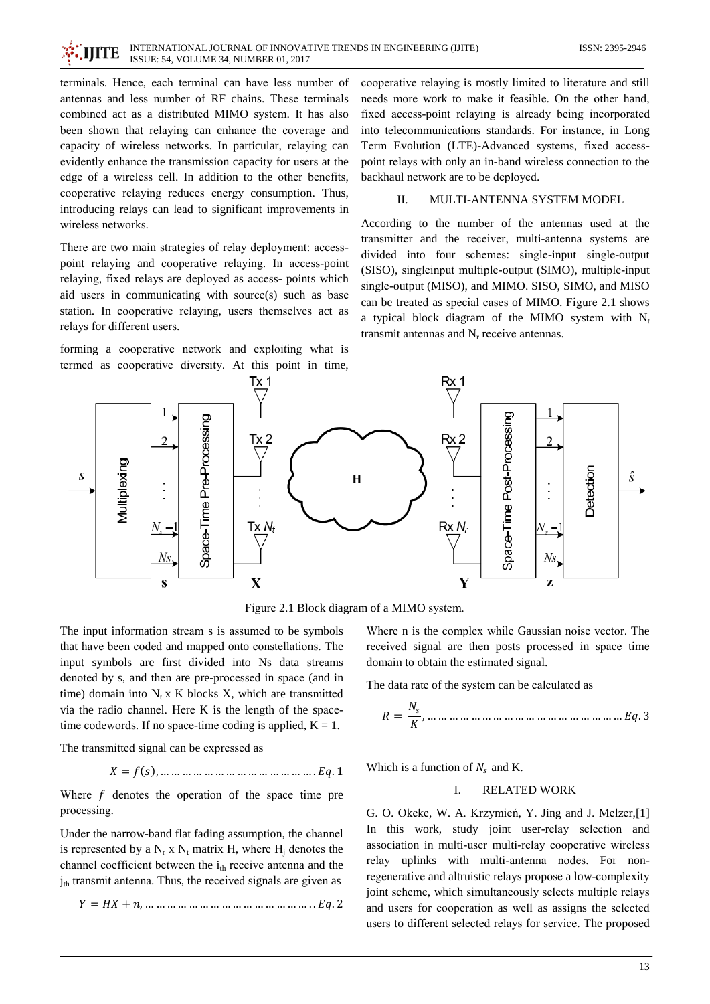terminals. Hence, each terminal can have less number of antennas and less number of RF chains. These terminals combined act as a distributed MIMO system. It has also been shown that relaying can enhance the coverage and capacity of wireless networks. In particular, relaying can evidently enhance the transmission capacity for users at the edge of a wireless cell. In addition to the other benefits, cooperative relaying reduces energy consumption. Thus, introducing relays can lead to significant improvements in wireless networks.

There are two main strategies of relay deployment: accesspoint relaying and cooperative relaying. In access-point relaying, fixed relays are deployed as access- points which aid users in communicating with source(s) such as base station. In cooperative relaying, users themselves act as relays for different users.

forming a cooperative network and exploiting what is termed as cooperative diversity. At this point in time,

cooperative relaying is mostly limited to literature and still needs more work to make it feasible. On the other hand, fixed access-point relaying is already being incorporated into telecommunications standards. For instance, in Long Term Evolution (LTE)-Advanced systems, fixed accesspoint relays with only an in-band wireless connection to the backhaul network are to be deployed.

### $\Pi$ MULTI-ANTENNA SYSTEM MODEL

According to the number of the antennas used at the transmitter and the receiver, multi-antenna systems are divided into four schemes: single-input single-output (SISO), singleinput multiple-output (SIMO), multiple-input single-output (MISO), and MIMO. SISO, SIMO, and MISO can be treated as special cases of MIMO. Figure 2.1 shows a typical block diagram of the MIMO system with  $N_t$ transmit antennas and  $N_r$  receive antennas.



Figure 2.1 Block diagram of a MIMO system.

The input information stream s is assumed to be symbols that have been coded and mapped onto constellations. The input symbols are first divided into Ns data streams denoted by s, and then are pre-processed in space (and in time) domain into  $N_t x K$  blocks X, which are transmitted via the radio channel. Here K is the length of the spacetime codewords. If no space-time coding is applied,  $K = 1$ .

The transmitted signal can be expressed as

$$
X = f(s)
$$
, ... ... ... ... ... ... ... ... ... ... .  $Eq. 1$ 

Where  $f$  denotes the operation of the space time pre processing.

Under the narrow-band flat fading assumption, the channel is represented by a  $N_r$  x  $N_t$  matrix H, where H<sub>i</sub> denotes the channel coefficient between the i<sub>th</sub> receive antenna and the j<sub>th</sub> transmit antenna. Thus, the received signals are given as

$$
Y = HX + n, \dots \dots \dots \dots \dots \dots \dots \dots \dots \dots \dots \dots \dots Eq. 2
$$

Where n is the complex while Gaussian noise vector. The received signal are then posts processed in space time domain to obtain the estimated signal.

The data rate of the system can be calculated as

$$
R = \frac{N_s}{K}, \dots \dots \dots \dots \dots \dots \dots \dots \dots \dots \dots \dots \dots \dots \dots \dots \dots
$$

Which is a function of  $N_s$  and K.

#### I. **RELATED WORK**

G. O. Okeke, W. A. Krzymień, Y. Jing and J. Melzer,[1] In this work, study joint user-relay selection and association in multi-user multi-relay cooperative wireless relay uplinks with multi-antenna nodes. For nonregenerative and altruistic relays propose a low-complexity joint scheme, which simultaneously selects multiple relays and users for cooperation as well as assigns the selected users to different selected relays for service. The proposed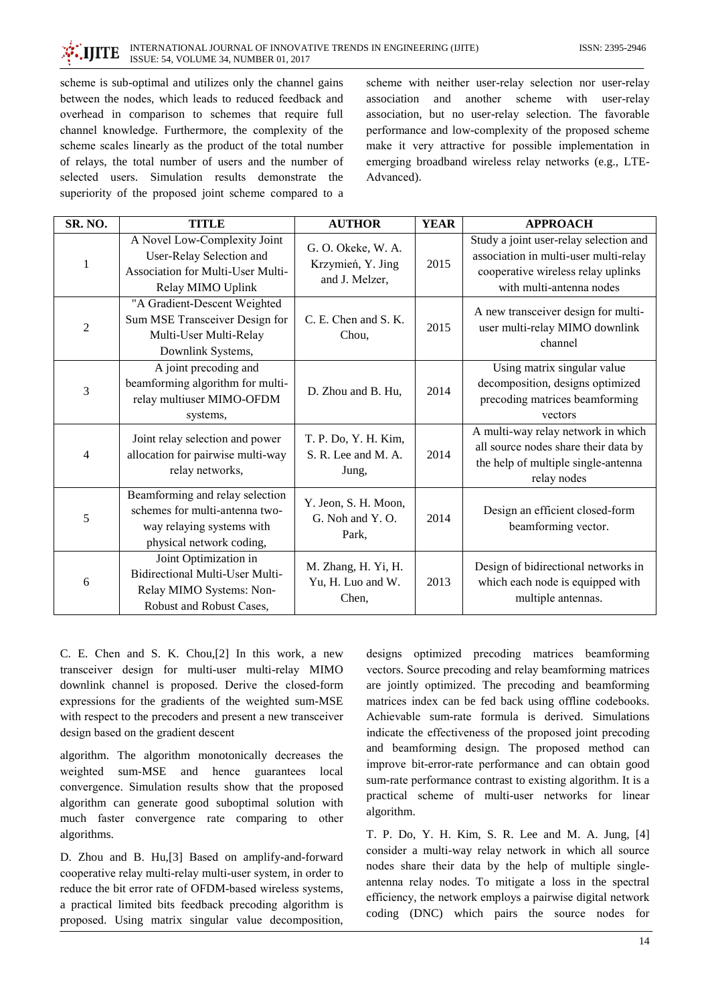## **IIITE**

scheme is sub-optimal and utilizes only the channel gains between the nodes, which leads to reduced feedback and overhead in comparison to schemes that require full channel knowledge. Furthermore, the complexity of the scheme scales linearly as the product of the total number of relays, the total number of users and the number of selected users. Simulation results demonstrate the superiority of the proposed joint scheme compared to a scheme with neither user-relay selection nor user-relay association and another scheme with user-relay association, but no user-relay selection. The favorable performance and low-complexity of the proposed scheme make it very attractive for possible implementation in emerging broadband wireless relay networks (e.g., LTE-Advanced).

| SR. NO.        | <b>TITLE</b>                                                                                                               | <b>AUTHOR</b>                                             | <b>YEAR</b> | <b>APPROACH</b>                                                                                                                                   |
|----------------|----------------------------------------------------------------------------------------------------------------------------|-----------------------------------------------------------|-------------|---------------------------------------------------------------------------------------------------------------------------------------------------|
| 1              | A Novel Low-Complexity Joint<br>User-Relay Selection and<br>Association for Multi-User Multi-<br>Relay MIMO Uplink         | G. O. Okeke, W. A.<br>Krzymień, Y. Jing<br>and J. Melzer, | 2015        | Study a joint user-relay selection and<br>association in multi-user multi-relay<br>cooperative wireless relay uplinks<br>with multi-antenna nodes |
| $\overline{2}$ | "A Gradient-Descent Weighted<br>Sum MSE Transceiver Design for<br>Multi-User Multi-Relay<br>Downlink Systems,              | C. E. Chen and S. K.<br>Chou,                             | 2015        | A new transceiver design for multi-<br>user multi-relay MIMO downlink<br>channel                                                                  |
| 3              | A joint precoding and<br>beamforming algorithm for multi-<br>relay multiuser MIMO-OFDM<br>systems,                         | D. Zhou and B. Hu,                                        | 2014        | Using matrix singular value<br>decomposition, designs optimized<br>precoding matrices beamforming<br>vectors                                      |
| 4              | Joint relay selection and power<br>allocation for pairwise multi-way<br>relay networks,                                    | T. P. Do, Y. H. Kim,<br>S. R. Lee and M. A.<br>Jung,      | 2014        | A multi-way relay network in which<br>all source nodes share their data by<br>the help of multiple single-antenna<br>relay nodes                  |
| 5              | Beamforming and relay selection<br>schemes for multi-antenna two-<br>way relaying systems with<br>physical network coding, | Y. Jeon, S. H. Moon,<br>G. Noh and Y. O.<br>Park,         | 2014        | Design an efficient closed-form<br>beamforming vector.                                                                                            |
| 6              | Joint Optimization in<br><b>Bidirectional Multi-User Multi-</b><br>Relay MIMO Systems: Non-<br>Robust and Robust Cases,    | M. Zhang, H. Yi, H.<br>Yu, H. Luo and W.<br>Chen,         | 2013        | Design of bidirectional networks in<br>which each node is equipped with<br>multiple antennas.                                                     |

C. E. Chen and S. K. Chou, [2] In this work, a new transceiver design for multi-user multi-relay MIMO downlink channel is proposed. Derive the closed-form expressions for the gradients of the weighted sum-MSE with respect to the precoders and present a new transceiver design based on the gradient descent

algorithm. The algorithm monotonically decreases the weighted sum-MSE and hence guarantees local convergence. Simulation results show that the proposed algorithm can generate good suboptimal solution with much faster convergence rate comparing to other algorithms.

D. Zhou and B. Hu, [3] Based on amplify-and-forward cooperative relay multi-relay multi-user system, in order to reduce the bit error rate of OFDM-based wireless systems, a practical limited bits feedback precoding algorithm is proposed. Using matrix singular value decomposition,

designs optimized precoding matrices beamforming vectors. Source precoding and relay beamforming matrices are jointly optimized. The precoding and beamforming matrices index can be fed back using offline codebooks. Achievable sum-rate formula is derived. Simulations indicate the effectiveness of the proposed joint precoding and beamforming design. The proposed method can improve bit-error-rate performance and can obtain good sum-rate performance contrast to existing algorithm. It is a practical scheme of multi-user networks for linear algorithm.

T. P. Do, Y. H. Kim, S. R. Lee and M. A. Jung, [4] consider a multi-way relay network in which all source nodes share their data by the help of multiple singleantenna relay nodes. To mitigate a loss in the spectral efficiency, the network employs a pairwise digital network coding (DNC) which pairs the source nodes for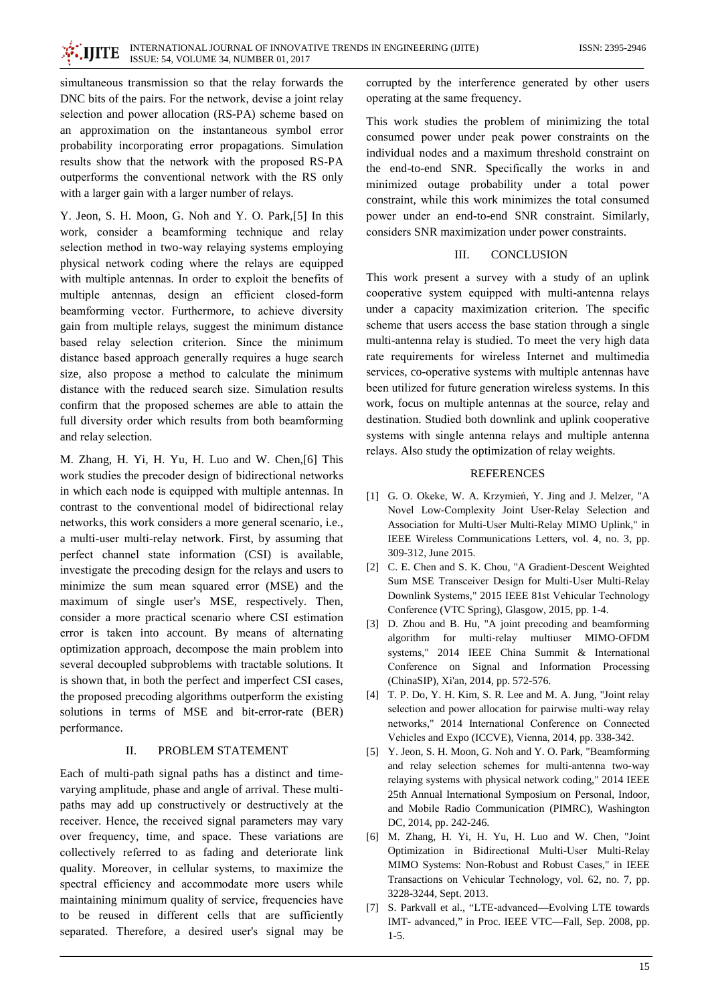INTERNATIONAL JOURNAL OF INNOVATIVE TRENDS IN ENGINEERING (IJITE) . IIITE ISSUE: 54, VOLUME 34, NUMBER 01, 2017

simultaneous transmission so that the relay forwards the DNC bits of the pairs. For the network, devise a joint relay selection and power allocation (RS-PA) scheme based on an approximation on the instantaneous symbol error probability incorporating error propagations. Simulation results show that the network with the proposed RS-PA outperforms the conventional network with the RS only with a larger gain with a larger number of relays.

Y. Jeon, S. H. Moon, G. Noh and Y. O. Park, [5] In this work, consider a beamforming technique and relay selection method in two-way relaying systems employing physical network coding where the relays are equipped with multiple antennas. In order to exploit the benefits of multiple antennas, design an efficient closed-form beamforming vector. Furthermore, to achieve diversity gain from multiple relays, suggest the minimum distance based relay selection criterion. Since the minimum distance based approach generally requires a huge search size, also propose a method to calculate the minimum distance with the reduced search size. Simulation results confirm that the proposed schemes are able to attain the full diversity order which results from both beamforming and relay selection.

M. Zhang, H. Yi, H. Yu, H. Luo and W. Chen, [6] This work studies the precoder design of bidirectional networks in which each node is equipped with multiple antennas. In contrast to the conventional model of bidirectional relay networks, this work considers a more general scenario, i.e., a multi-user multi-relay network. First, by assuming that perfect channel state information (CSI) is available, investigate the precoding design for the relays and users to minimize the sum mean squared error (MSE) and the maximum of single user's MSE, respectively. Then, consider a more practical scenario where CSI estimation error is taken into account. By means of alternating optimization approach, decompose the main problem into several decoupled subproblems with tractable solutions. It is shown that, in both the perfect and imperfect CSI cases, the proposed precoding algorithms outperform the existing solutions in terms of MSE and bit-error-rate (BER) performance.

### $\Pi$ . PROBLEM STATEMENT

Each of multi-path signal paths has a distinct and timevarying amplitude, phase and angle of arrival. These multipaths may add up constructively or destructively at the receiver. Hence, the received signal parameters may vary over frequency, time, and space. These variations are collectively referred to as fading and deteriorate link quality. Moreover, in cellular systems, to maximize the spectral efficiency and accommodate more users while maintaining minimum quality of service, frequencies have to be reused in different cells that are sufficiently separated. Therefore, a desired user's signal may be

corrupted by the interference generated by other users operating at the same frequency.

This work studies the problem of minimizing the total consumed power under peak power constraints on the individual nodes and a maximum threshold constraint on the end-to-end SNR. Specifically the works in and minimized outage probability under a total power constraint, while this work minimizes the total consumed power under an end-to-end SNR constraint. Similarly, considers SNR maximization under power constraints.

### III. **CONCLUSION**

This work present a survey with a study of an uplink cooperative system equipped with multi-antenna relays under a capacity maximization criterion. The specific scheme that users access the base station through a single multi-antenna relay is studied. To meet the very high data rate requirements for wireless Internet and multimedia services, co-operative systems with multiple antennas have been utilized for future generation wireless systems. In this work, focus on multiple antennas at the source, relay and destination. Studied both downlink and uplink cooperative systems with single antenna relays and multiple antenna relays. Also study the optimization of relay weights.

### **REFERENCES**

- [1] G. O. Okeke, W. A. Krzymień, Y. Jing and J. Melzer, "A Novel Low-Complexity Joint User-Relay Selection and Association for Multi-User Multi-Relay MIMO Uplink," in IEEE Wireless Communications Letters, vol. 4, no. 3, pp. 309-312, June 2015.
- [2] C. E. Chen and S. K. Chou, "A Gradient-Descent Weighted Sum MSE Transceiver Design for Multi-User Multi-Relay Downlink Systems," 2015 IEEE 81st Vehicular Technology Conference (VTC Spring), Glasgow, 2015, pp. 1-4.
- [3] D. Zhou and B. Hu, "A joint precoding and beamforming algorithm for multi-relay multiuser MIMO-OFDM systems," 2014 IEEE China Summit & International Conference on Signal and Information Processing (ChinaSIP), Xi'an, 2014, pp. 572-576.
- [4] T. P. Do, Y. H. Kim, S. R. Lee and M. A. Jung, "Joint relay selection and power allocation for pairwise multi-way relay networks," 2014 International Conference on Connected Vehicles and Expo (ICCVE), Vienna, 2014, pp. 338-342.
- [5] Y. Jeon, S. H. Moon, G. Noh and Y. O. Park, "Beamforming and relay selection schemes for multi-antenna two-way relaving systems with physical network coding." 2014 IEEE 25th Annual International Symposium on Personal, Indoor, and Mobile Radio Communication (PIMRC), Washington DC, 2014, pp. 242-246.
- [6] M. Zhang, H. Yi, H. Yu, H. Luo and W. Chen, "Joint Optimization in Bidirectional Multi-User Multi-Relay MIMO Systems: Non-Robust and Robust Cases," in IEEE Transactions on Vehicular Technology, vol. 62, no. 7, pp. 3228-3244, Sept. 2013.
- [7] S. Parkvall et al., "LTE-advanced—Evolving LTE towards IMT- advanced," in Proc. IEEE VTC—Fall, Sep. 2008, pp.  $1-5.$